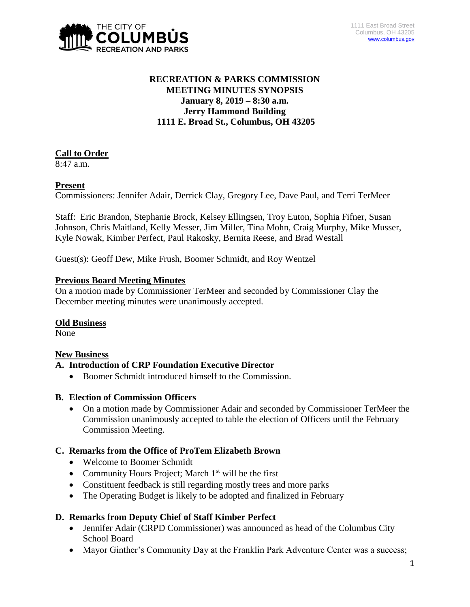

# **RECREATION & PARKS COMMISSION MEETING MINUTES SYNOPSIS January 8, 2019 – 8:30 a.m. Jerry Hammond Building 1111 E. Broad St., Columbus, OH 43205**

# **Call to Order**

8:47 a.m.

# **Present**

Commissioners: Jennifer Adair, Derrick Clay, Gregory Lee, Dave Paul, and Terri TerMeer

Staff: Eric Brandon, Stephanie Brock, Kelsey Ellingsen, Troy Euton, Sophia Fifner, Susan Johnson, Chris Maitland, Kelly Messer, Jim Miller, Tina Mohn, Craig Murphy, Mike Musser, Kyle Nowak, Kimber Perfect, Paul Rakosky, Bernita Reese, and Brad Westall

Guest(s): Geoff Dew, Mike Frush, Boomer Schmidt, and Roy Wentzel

## **Previous Board Meeting Minutes**

On a motion made by Commissioner TerMeer and seconded by Commissioner Clay the December meeting minutes were unanimously accepted.

### **Old Business**

None

# **New Business**

### **A. Introduction of CRP Foundation Executive Director**

• Boomer Schmidt introduced himself to the Commission.

# **B. Election of Commission Officers**

 On a motion made by Commissioner Adair and seconded by Commissioner TerMeer the Commission unanimously accepted to table the election of Officers until the February Commission Meeting.

# **C. Remarks from the Office of ProTem Elizabeth Brown**

- Welcome to Boomer Schmidt
- Community Hours Project; March  $1<sup>st</sup>$  will be the first
- Constituent feedback is still regarding mostly trees and more parks
- The Operating Budget is likely to be adopted and finalized in February

### **D. Remarks from Deputy Chief of Staff Kimber Perfect**

- Jennifer Adair (CRPD Commissioner) was announced as head of the Columbus City School Board
- Mayor Ginther's Community Day at the Franklin Park Adventure Center was a success;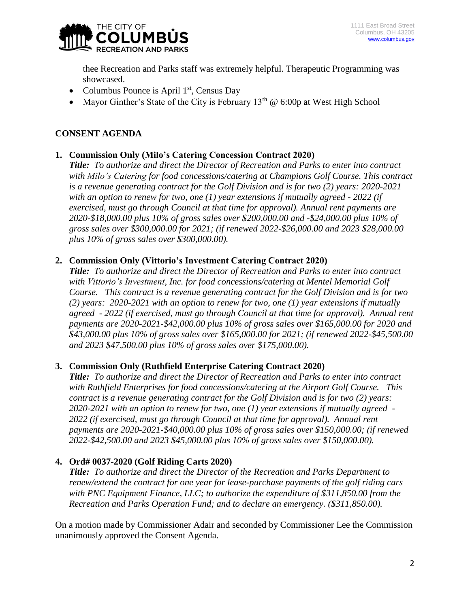

thee Recreation and Parks staff was extremely helpful. Therapeutic Programming was showcased.

- Columbus Pounce is April  $1<sup>st</sup>$ , Census Day
- Mayor Ginther's State of the City is February  $13<sup>th</sup>$  @ 6:00p at West High School

# **CONSENT AGENDA**

# **1. Commission Only (Milo's Catering Concession Contract 2020)**

*Title: To authorize and direct the Director of Recreation and Parks to enter into contract with Milo's Catering for food concessions/catering at Champions Golf Course. This contract is a revenue generating contract for the Golf Division and is for two (2) years: 2020-2021 with an option to renew for two, one (1) year extensions if mutually agreed - 2022 (if exercised, must go through Council at that time for approval). Annual rent payments are 2020-\$18,000.00 plus 10% of gross sales over \$200,000.00 and -\$24,000.00 plus 10% of gross sales over \$300,000.00 for 2021; (if renewed 2022-\$26,000.00 and 2023 \$28,000.00 plus 10% of gross sales over \$300,000.00).*

# **2. Commission Only (Vittorio's Investment Catering Contract 2020)**

*Title: To authorize and direct the Director of Recreation and Parks to enter into contract with Vittorio's Investment, Inc. for food concessions/catering at Mentel Memorial Golf Course. This contract is a revenue generating contract for the Golf Division and is for two (2) years: 2020-2021 with an option to renew for two, one (1) year extensions if mutually agreed - 2022 (if exercised, must go through Council at that time for approval). Annual rent payments are 2020-2021-\$42,000.00 plus 10% of gross sales over \$165,000.00 for 2020 and \$43,000.00 plus 10% of gross sales over \$165,000.00 for 2021; (if renewed 2022-\$45,500.00 and 2023 \$47,500.00 plus 10% of gross sales over \$175,000.00).*

# **3. Commission Only (Ruthfield Enterprise Catering Contract 2020)**

*Title: To authorize and direct the Director of Recreation and Parks to enter into contract with Ruthfield Enterprises for food concessions/catering at the Airport Golf Course. This contract is a revenue generating contract for the Golf Division and is for two (2) years: 2020-2021 with an option to renew for two, one (1) year extensions if mutually agreed - 2022 (if exercised, must go through Council at that time for approval). Annual rent payments are 2020-2021-\$40,000.00 plus 10% of gross sales over \$150,000.00; (if renewed 2022-\$42,500.00 and 2023 \$45,000.00 plus 10% of gross sales over \$150,000.00).*

# **4. Ord# 0037-2020 (Golf Riding Carts 2020)**

*Title: To authorize and direct the Director of the Recreation and Parks Department to renew/extend the contract for one year for lease-purchase payments of the golf riding cars with PNC Equipment Finance, LLC; to authorize the expenditure of \$311,850.00 from the Recreation and Parks Operation Fund; and to declare an emergency. (\$311,850.00).*

On a motion made by Commissioner Adair and seconded by Commissioner Lee the Commission unanimously approved the Consent Agenda.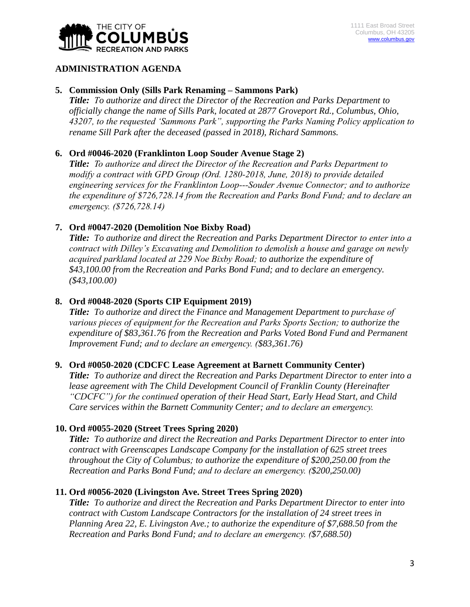

## **ADMINISTRATION AGENDA**

## **5. Commission Only (Sills Park Renaming – Sammons Park)**

*Title: To authorize and direct the Director of the Recreation and Parks Department to officially change the name of Sills Park, located at 2877 Groveport Rd., Columbus, Ohio, 43207, to the requested 'Sammons Park", supporting the Parks Naming Policy application to rename Sill Park after the deceased (passed in 2018), Richard Sammons.* 

## **6. Ord #0046-2020 (Franklinton Loop Souder Avenue Stage 2)**

*Title: To authorize and direct the Director of the Recreation and Parks Department to modify a contract with GPD Group (Ord. 1280-2018, June, 2018) to provide detailed engineering services for the Franklinton Loop---Souder Avenue Connector; and to authorize the expenditure of \$726,728.14 from the Recreation and Parks Bond Fund; and to declare an emergency. (\$726,728.14)*

## **7. Ord #0047-2020 (Demolition Noe Bixby Road)**

*Title: To authorize and direct the Recreation and Parks Department Director to enter into a contract with Dilley's Excavating and Demolition to demolish a house and garage on newly acquired parkland located at 229 Noe Bixby Road; to authorize the expenditure of \$43,100.00 from the Recreation and Parks Bond Fund; and to declare an emergency. (\$43,100.00)*

## **8. Ord #0048-2020 (Sports CIP Equipment 2019)**

*Title: To authorize and direct the Finance and Management Department to purchase of various pieces of equipment for the Recreation and Parks Sports Section; to authorize the expenditure of \$83,361.76 from the Recreation and Parks Voted Bond Fund and Permanent Improvement Fund; and to declare an emergency. (\$83,361.76)*

### **9. Ord #0050-2020 (CDCFC Lease Agreement at Barnett Community Center)**

*Title: To authorize and direct the Recreation and Parks Department Director to enter into a*  lease agreement with The Child Development Council of Franklin County (Hereinafter *"CDCFC") for the continued operation of their Head Start, Early Head Start, and Child Care services within the Barnett Community Center; and to declare an emergency.*

### **10. Ord #0055-2020 (Street Trees Spring 2020)**

*Title: To authorize and direct the Recreation and Parks Department Director to enter into contract with Greenscapes Landscape Company for the installation of 625 street trees throughout the City of Columbus; to authorize the expenditure of \$200,250.00 from the Recreation and Parks Bond Fund; and to declare an emergency. (\$200,250.00)*

### **11. Ord #0056-2020 (Livingston Ave. Street Trees Spring 2020)**

*Title: To authorize and direct the Recreation and Parks Department Director to enter into contract with Custom Landscape Contractors for the installation of 24 street trees in Planning Area 22, E. Livingston Ave.; to authorize the expenditure of \$7,688.50 from the Recreation and Parks Bond Fund; and to declare an emergency. (\$7,688.50)*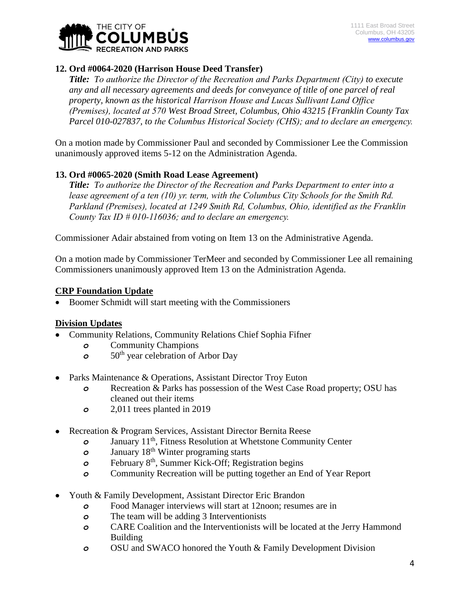

# **12. Ord #0064-2020 (Harrison House Deed Transfer)**

*Title: To authorize the Director of the Recreation and Parks Department (City) to execute any and all necessary agreements and deeds for conveyance of title of one parcel of real property, known as the historical Harrison House and Lucas Sullivant Land Office (Premises), located at 570 West Broad Street, Columbus, Ohio 43215 {Franklin County Tax Parcel 010-027837, to the Columbus Historical Society (CHS); and to declare an emergency.*

On a motion made by Commissioner Paul and seconded by Commissioner Lee the Commission unanimously approved items 5-12 on the Administration Agenda.

## **13. Ord #0065-2020 (Smith Road Lease Agreement)**

*Title: To authorize the Director of the Recreation and Parks Department to enter into a lease agreement of a ten (10) yr. term, with the Columbus City Schools for the Smith Rd. Parkland (Premises), located at 1249 Smith Rd, Columbus, Ohio, identified as the Franklin County Tax ID # 010-116036; and to declare an emergency.*

Commissioner Adair abstained from voting on Item 13 on the Administrative Agenda.

On a motion made by Commissioner TerMeer and seconded by Commissioner Lee all remaining Commissioners unanimously approved Item 13 on the Administration Agenda.

### **CRP Foundation Update**

Boomer Schmidt will start meeting with the Commissioners

### **Division Updates**

- Community Relations, Community Relations Chief Sophia Fifner
	- *o* Community Champions
	- *o* 50th year celebration of Arbor Day
- Parks Maintenance & Operations, Assistant Director Troy Euton
	- *o* Recreation & Parks has possession of the West Case Road property; OSU has cleaned out their items
	- *o* 2,011 trees planted in 2019
- Recreation & Program Services, Assistant Director Bernita Reese
	- *o* January 11th, Fitness Resolution at Whetstone Community Center
	- *o* January 18th Winter programing starts
	- *o* February 8th, Summer Kick-Off; Registration begins
	- *o* Community Recreation will be putting together an End of Year Report
- Youth & Family Development, Assistant Director Eric Brandon
	- *o* Food Manager interviews will start at 12noon; resumes are in
	- *o* The team will be adding 3 Interventionists
	- *o* CARE Coalition and the Interventionists will be located at the Jerry Hammond Building
	- *o* OSU and SWACO honored the Youth & Family Development Division